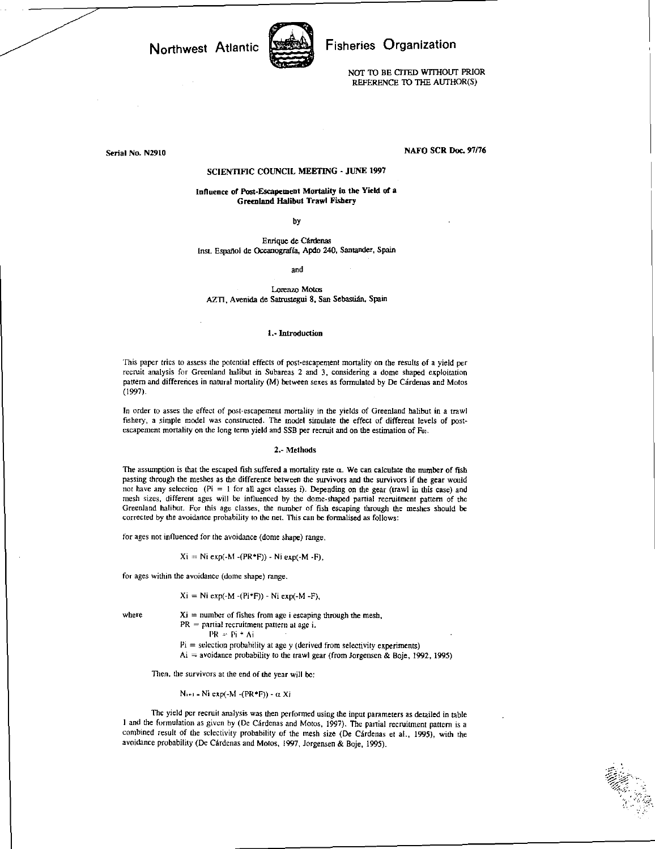Northwest Atlantic



## Fisheries Organization

NOT TO BE CITED WITHOUT PRIOR REFERENCE TO THE AUTHOR(S)

Serial No. N2910

### NAFO SCR Doc. 97/76

### SCIENTIFIC COUNCIL MEETING - JUNE 1997

Influence of Post-Escapement Mortality in the Yield of a Greenland Halibut Trawl Fishery

by

Enrique de Cardenas Inst. Espanol de Oceanograffa, Apdo 240, Santander, Spain

and

Lorenzo Motes AZTI, Avenida de Satrustegui 8, San Sebastian, Spain

# 1.- Introduction

This paper tries to assess the potential effects of post-escapement mortality on the results of a yield per recruit analysis for Greenland halibut in Subareas 2 and 3, considering a dome shaped exploitation pattern and differences in natural mortality (M) between sexes as formulated by De Cárdenas and Motos (1997).

In order to asses the effect of post-escapement mortality in the yields of Greenland halibut in a trawl fishery, a simple model was constructed. The model simulate the effect of different levels of postescapement mortality on the long term yield and SSB per recruit and on the estimation of For.

#### 2.- Methods

The assumption is that the escaped fish suffered a mortality rate  $\alpha$ . We can calculate the number of fish passing through the meshes as the difference between the survivors and the survivors if the gear would not have any selection (Pi = I for all ages classes i). Depending on the gear (trawl in this case) and mesh sizes, different ages will be influenced by the dome-shaped partial recruitment pattern of the Greenland halibut. For this age classes, the number of fish escaping through the meshes should be corrected by the avoidance probability to the net. This can be formalised as follows:

for ages not influenced for the avoidance (dome shape) range.

 $Xi = Ni exp(-M - (PR*F)) - Ni exp(-M - F),$ 

for ages within the avoidance (dome shape) range.

$$
Xi = Ni \exp(-M - (Pi*F)) - Ni \exp(-M - F)
$$

where  $Xi =$  number of fishes from age i escaping through the mesh,  $PR =$  partial recruitment pattern at age i.

 $PR = Pi * Ai$ 

 $Pi = selection probability at age y (derived from selectivity experiments)$ 

 $Ai = a$ voidance probability to the trawl gear (from Jorgensen & Boje, 1992, 1995)

Then, the survivors at the end of the year will be:

Ni+1 = Ni exp(-M -(PR+F)) -  $\alpha$  Xi

The yield per recruit analysis was then performed using the input parameters as detailed in table I and the formulation as given by (De Cardenas and Motos, 1997). The partial recruitment pattern is a combined result of the selectivity probability of the mesh size (De Cárdenas et al., 1995), with the avoidance probability (De Cárdenas and Motos, 1997, Jorgensen & Boje, 1995).

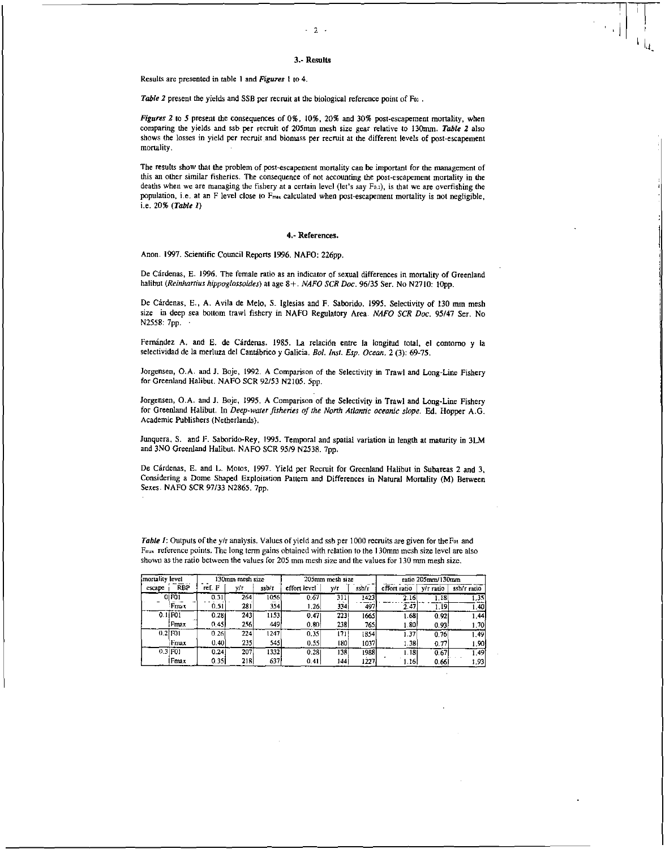### 3.- Results

Results are presented in table I and *Figures I* to 4.

Table 2 present the yields and SSB per recruit at the biological reference point of For.

*Figures 2 to* 5 present the consequences of 0%, 10%, 20% and 30% post-escapement mortality, when comparing the yields and ssb per recruit of 205mm mesh size gear relative to 130mm. *Table 2* also shows the losses in yield per recruit and biomass per recruit at the different levels of post-escapement mortality.

The results show that the problem of post-escapement mortality can be important for the management of this an other similar fisheries. The consequence of not accounting the post-escapement mortality in the deaths when we are managing the fishery at a certain level (let's say Fo.i), is that we are overfishing the population, i.e. at an F level close to F<sub>nux</sub> calculated when post-escapement mortality is not negligible, i.e. 20% *(Table I)* 

### **4.-** References.

Anon. 1997. Scientific Council Reports 1996. NAFO: 226pp.

De Cárdenas, E. 1996. The female ratio as an indicator of sexual differences in mortality of Greenland halibut *(Reinhartius hippoglossoides)* at age 8+. *NAFO SCR Doc.* 96/35 Ser. No N2710: lOpp.

De Cardenas, E., A. Avila de Melo, S. Iglesias and F. Saborido. 1995. Selectivity of 130 mm mesh size in deep sea bottom trawl fishery in NAFO Regulatory Area. *NAFO SCR Doc.* 95/47 Ser. No N2558: 7pp. •

Fernández A. and E. de Cárdenas. 1985. La relación entre la longitud total, el contorno y la selectividad de la merluza del Cantabrico y Galicia. *Dol. Inst. Esp. Ocean.* 2 (3): 69-75.

Jorgensen, O.A. and J. Boje, 1992. A Comparison of the Selectivity in Trawl and Long-Line Fishery for Greenland Halibut. NAFO SCR 92/53 N2105. 5pp.

Jorgensen, O.A. and J. Boje, 1995. A Comparison of the Selectivity in Trawl and Long-Line Fishery for Greenland Halibut. In *Deep-water fisheries of the North Atlantic oceanic slope.* Ed. Hopper A.G. Academic Publishers (Netherlands).

Junquera, S. and F. Saborido-Rey, 1995. Temporal and spatial variation in length at maturity in 3LM and 3NO Greenland Halibut. NAFO SCR 95/9 N2538. 7pp.

De Cárdenas, E. and L. Motos, 1997. Yield per Recruit for Greenland Halibut in Subareas 2 and 3, Considering a Dome Shaped Exploitation Pattern and Differences in Natural Mortality (M) Between Sexes. NAFO SCR 97/33 N2865. 7pp.

*Table 1:* Outputs of the y/r analysis. Values of yield and ssb per 1000 recruits are given for the F<sub>01</sub> and F<sub>max</sub> reference points. The long term gains obtained with relation to the 130mm mesh size level are also shown as the ratio between the values for 205 mm mesh size and the values for 130 mm mesh size.

| imortality level |                               | 130mm mesh size |      |       | 205mm mesh size |      |             | ratio 205mm/130mm |                   |             |
|------------------|-------------------------------|-----------------|------|-------|-----------------|------|-------------|-------------------|-------------------|-------------|
| escape           | <b>RBP</b>                    | ref. F          | v/τ  | ssb/r | effort level    | v/r  | $s$ sb/ $r$ | effort ratio      | y/r ratio         | ssb/r ratio |
|                  | 0 F01                         | 0.31            | 264  | 1056  | 0.67            | 311  | 1423        | 2.16              | $\overline{1.18}$ | 1.35        |
|                  | Fmax                          | 0.51            | 281  | 354   | 1.26            | 334  | 497         | 2.47              | 1.19.             | 1.40        |
|                  | $0.1$ <b><math>F01</math></b> | 0.281           | 2431 | 1153  | 0.47            | 2231 | 1665        | 1.681             | 0.921             | 1.44        |
|                  | Fmax                          | 0.45            | 256  | 4491  | 0.80            | 238  | 765         | 1.80              | 0.93              | 1.70I       |
|                  | $0.2$ [F01]                   | 0.26            | 224  | 1247  | 0.35            | 1711 | 1854        | 1.37              | 0.76              | 1.49        |
|                  | Fnax                          | 0.40            | 235  | 545   | 0.55            | 180  | 1037        | 1.38 <sup>1</sup> | 0.77              | 1.90        |
|                  | 0.3 F01                       | 0.24            | 207  | 1332  | 0.281           | 138  | 1988        | 1.18              | 0.67              | 1.49        |
|                  | Fmax                          | 0.351           | 218  | 637   | 0.41            | 144  | 1227        | 1.16              | 0.66              | 1.93        |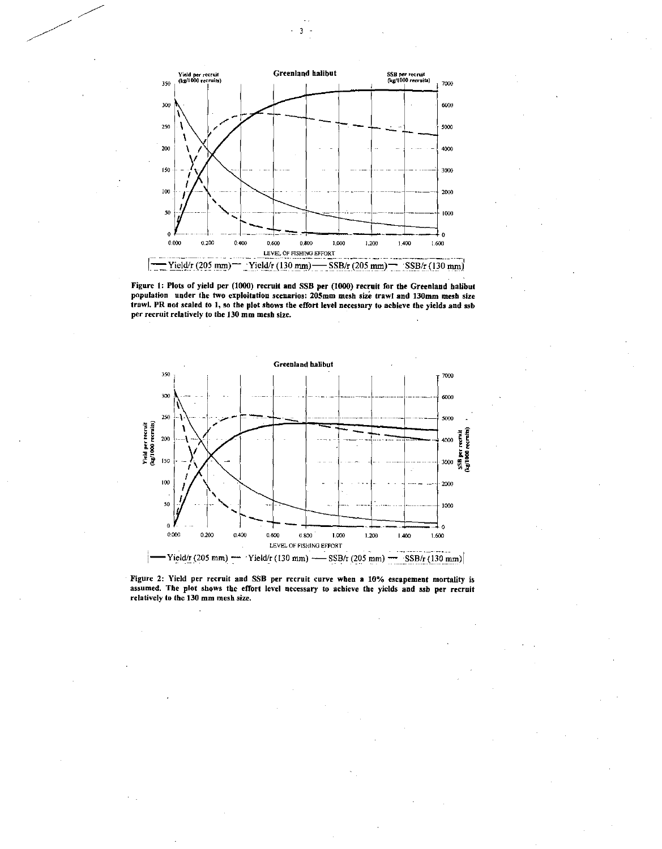

Figure I: Plots of yield per (1000) recruit and SSB per (1000) recruit for the Greenland halibut population under the two exploitation scenarios: 205mm mesh size trawl and 130mm mesh size trawl. PR not scaled to 1, so the plot shows the effort level necessary to achieve the yields and ssb per recruit relatively to the 130 mm mesh size.



Figure 2: Yield per recruit and SSB per recruit curve when a 10% escapement mortality is assumed. The plot shows the effort level necessary to achieve the yields and ssb per recruit relatively to the 130 mm mesh size.

3